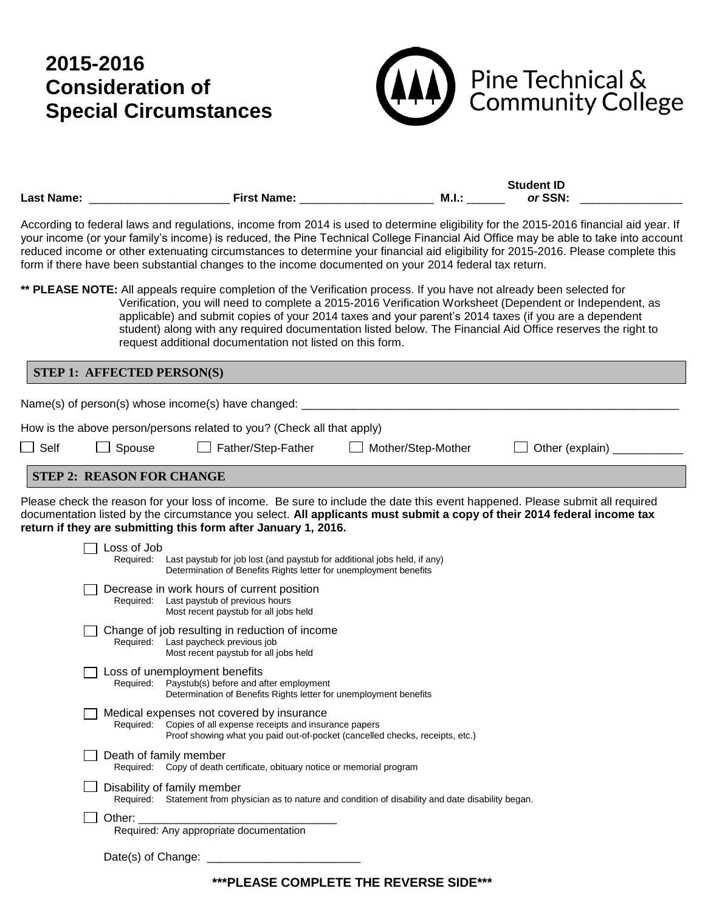## **2015-2016 Consideration of Special Circumstances**



|                   |                    |     | <b>Student ID</b> |  |
|-------------------|--------------------|-----|-------------------|--|
| <b>Last Name:</b> | <b>First Name:</b> | M.I | or SSN:           |  |

According to federal laws and regulations, income from 2014 is used to determine eligibility for the 2015-2016 financial aid year. If your income (or your family's income) is reduced, the Pine Technical College Financial Aid Office may be able to take into account reduced income or other extenuating circumstances to determine your financial aid eligibility for 2015-2016. Please complete this form if there have been substantial changes to the income documented on your 2014 federal tax return.

**\*\* PLEASE NOTE:** All appeals require completion of the Verification process. If you have not already been selected for Verification, you will need to complete a 2015-2016 Verification Worksheet (Dependent or Independent, as applicable) and submit copies of your 2014 taxes and your parent's 2014 taxes (if you are a dependent student) along with any required documentation listed below. The Financial Aid Office reserves the right to request additional documentation not listed on this form.

**STEP 1: AFFECTED PERSON(S)** Name(s) of person(s) whose income(s) have changed: \_ How is the above person/persons related to you? (Check all that apply)  $\Box$  Self  $\Box$  Spouse  $\Box$  Father/Step-Father  $\Box$  Mother/Step-Mother  $\Box$  Other (explain)

## **STEP 2: REASON FOR CHANGE**

Please check the reason for your loss of income. Be sure to include the date this event happened. Please submit all required documentation listed by the circumstance you select. **All applicants must submit a copy of their 2014 federal income tax return if they are submitting this form after January 1, 2016.**

| Decrease in work hours of current position<br>Required: Last paystub of previous hours<br>Most recent paystub for all jobs held<br>Change of job resulting in reduction of income<br>Required: Last paycheck previous job<br>Most recent paystub for all jobs held<br>Loss of unemployment benefits<br>Required: Paystub(s) before and after employment<br>Determination of Benefits Rights letter for unemployment benefits<br>Medical expenses not covered by insurance<br>Copies of all expense receipts and insurance papers<br>Required:<br>Proof showing what you paid out-of-pocket (cancelled checks, receipts, etc.)<br>Death of family member<br>Required: Copy of death certificate, obituary notice or memorial program<br>Disability of family member<br>Required: Statement from physician as to nature and condition of disability and date disability began.<br>Other: | Loss of Job<br>Required: Last paystub for job lost (and paystub for additional jobs held, if any)<br>Determination of Benefits Rights letter for unemployment benefits |
|----------------------------------------------------------------------------------------------------------------------------------------------------------------------------------------------------------------------------------------------------------------------------------------------------------------------------------------------------------------------------------------------------------------------------------------------------------------------------------------------------------------------------------------------------------------------------------------------------------------------------------------------------------------------------------------------------------------------------------------------------------------------------------------------------------------------------------------------------------------------------------------|------------------------------------------------------------------------------------------------------------------------------------------------------------------------|
|                                                                                                                                                                                                                                                                                                                                                                                                                                                                                                                                                                                                                                                                                                                                                                                                                                                                                        |                                                                                                                                                                        |
|                                                                                                                                                                                                                                                                                                                                                                                                                                                                                                                                                                                                                                                                                                                                                                                                                                                                                        |                                                                                                                                                                        |
|                                                                                                                                                                                                                                                                                                                                                                                                                                                                                                                                                                                                                                                                                                                                                                                                                                                                                        |                                                                                                                                                                        |
|                                                                                                                                                                                                                                                                                                                                                                                                                                                                                                                                                                                                                                                                                                                                                                                                                                                                                        |                                                                                                                                                                        |
|                                                                                                                                                                                                                                                                                                                                                                                                                                                                                                                                                                                                                                                                                                                                                                                                                                                                                        |                                                                                                                                                                        |
|                                                                                                                                                                                                                                                                                                                                                                                                                                                                                                                                                                                                                                                                                                                                                                                                                                                                                        |                                                                                                                                                                        |
|                                                                                                                                                                                                                                                                                                                                                                                                                                                                                                                                                                                                                                                                                                                                                                                                                                                                                        |                                                                                                                                                                        |
|                                                                                                                                                                                                                                                                                                                                                                                                                                                                                                                                                                                                                                                                                                                                                                                                                                                                                        |                                                                                                                                                                        |

**\*\*\*PLEASE COMPLETE THE REVERSE SIDE\*\*\***